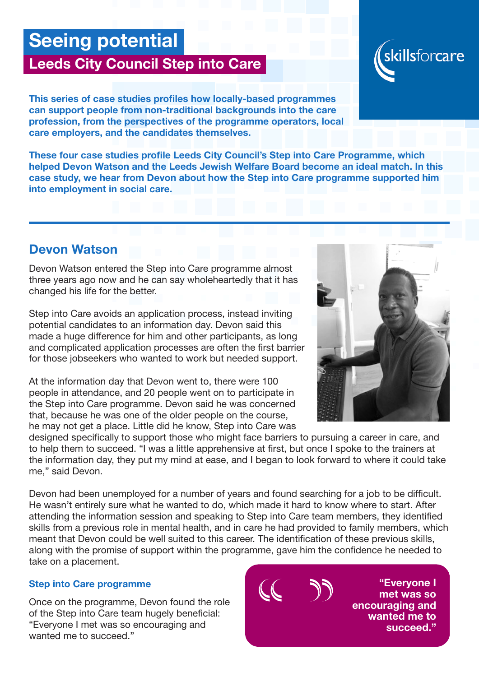# Seeing potential

## Leeds City Council Step into Care

This series of case studies profiles how locally-based programmes can support people from non-traditional backgrounds into the care profession, from the perspectives of the programme operators, local care employers, and the candidates themselves.

These four case studies profile Leeds City Council's Step into Care Programme, which helped Devon Watson and the Leeds Jewish Welfare Board become an ideal match. In this case study, we hear from Devon about how the Step into Care programme supported him into employment in social care.

### Devon Watson

Devon Watson entered the Step into Care programme almost three years ago now and he can say wholeheartedly that it has changed his life for the better.

Step into Care avoids an application process, instead inviting potential candidates to an information day. Devon said this made a huge difference for him and other participants, as long and complicated application processes are often the first barrier for those jobseekers who wanted to work but needed support.

At the information day that Devon went to, there were 100 people in attendance, and 20 people went on to participate in the Step into Care programme. Devon said he was concerned that, because he was one of the older people on the course, he may not get a place. Little did he know, Step into Care was

designed specifically to support those who might face barriers to pursuing a career in care, and to help them to succeed. "I was a little apprehensive at first, but once I spoke to the trainers at the information day, they put my mind at ease, and I began to look forward to where it could take me," said Devon.

Devon had been unemployed for a number of years and found searching for a job to be difficult. He wasn't entirely sure what he wanted to do, which made it hard to know where to start. After attending the information session and speaking to Step into Care team members, they identified skills from a previous role in mental health, and in care he had provided to family members, which meant that Devon could be well suited to this career. The identification of these previous skills, along with the promise of support within the programme, gave him the confidence he needed to take on a placement.

#### Step into Care programme

Once on the programme, Devon found the role of the Step into Care team hugely beneficial: "Everyone I met was so encouraging and wanted me to succeed."





"Everyone I met was so encouraging and wanted me to succeed."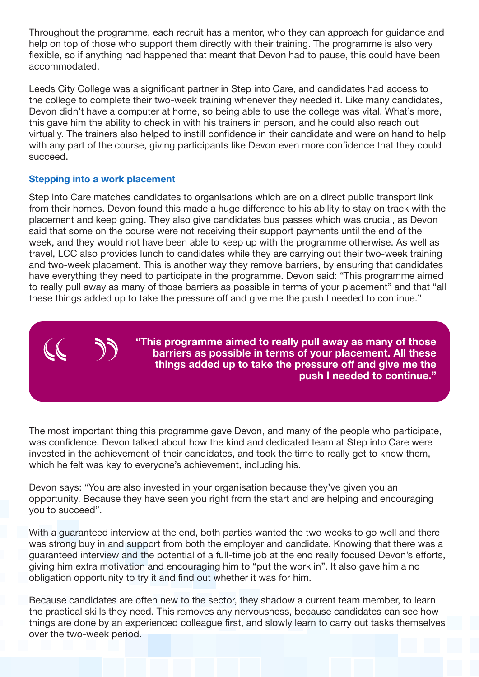Throughout the programme, each recruit has a mentor, who they can approach for guidance and help on top of those who support them directly with their training. The programme is also very flexible, so if anything had happened that meant that Devon had to pause, this could have been accommodated.

Leeds City College was a significant partner in Step into Care, and candidates had access to the college to complete their two-week training whenever they needed it. Like many candidates, Devon didn't have a computer at home, so being able to use the college was vital. What's more, this gave him the ability to check in with his trainers in person, and he could also reach out virtually. The trainers also helped to instill confidence in their candidate and were on hand to help with any part of the course, giving participants like Devon even more confidence that they could succeed.

#### Stepping into a work placement

Step into Care matches candidates to organisations which are on a direct public transport link from their homes. Devon found this made a huge difference to his ability to stay on track with the placement and keep going. They also give candidates bus passes which was crucial, as Devon said that some on the course were not receiving their support payments until the end of the week, and they would not have been able to keep up with the programme otherwise. As well as travel, LCC also provides lunch to candidates while they are carrying out their two-week training and two-week placement. This is another way they remove barriers, by ensuring that candidates have everything they need to participate in the programme. Devon said: "This programme aimed to really pull away as many of those barriers as possible in terms of your placement" and that "all these things added up to take the pressure off and give me the push I needed to continue."

> "This programme aimed to really pull away as many of those barriers as possible in terms of your placement. All these things added up to take the pressure off and give me the push I needed to continue."

The most important thing this programme gave Devon, and many of the people who participate, was confidence. Devon talked about how the kind and dedicated team at Step into Care were invested in the achievement of their candidates, and took the time to really get to know them, which he felt was key to everyone's achievement, including his.

Devon says: "You are also invested in your organisation because they've given you an opportunity. Because they have seen you right from the start and are helping and encouraging you to succeed".

With a guaranteed interview at the end, both parties wanted the two weeks to go well and there was strong buy in and support from both the employer and candidate. Knowing that there was a guaranteed interview and the potential of a full-time job at the end really focused Devon's efforts, giving him extra motivation and encouraging him to "put the work in". It also gave him a no obligation opportunity to try it and find out whether it was for him.

Because candidates are often new to the sector, they shadow a current team member, to learn the practical skills they need. This removes any nervousness, because candidates can see how things are done by an experienced colleague first, and slowly learn to carry out tasks themselves over the two-week period.